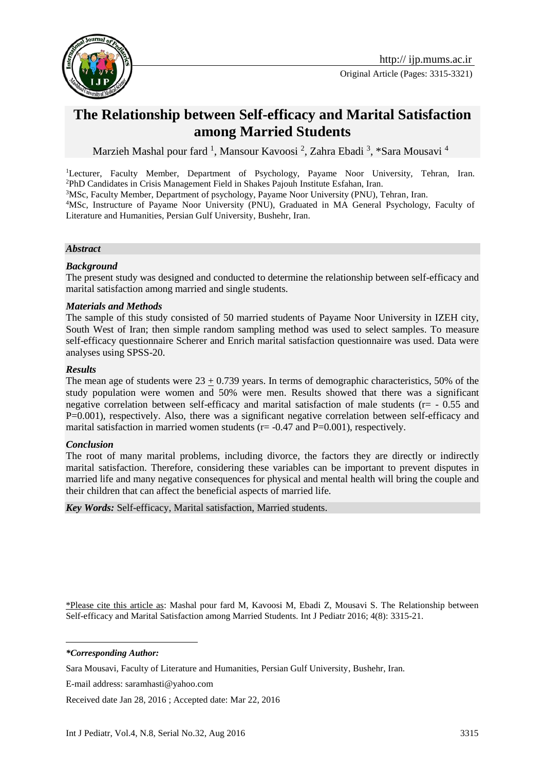

# **The Relationship between Self-efficacy and Marital Satisfaction among Married Students**

Marzieh Mashal pour fard <sup>1</sup>, Mansour Kavoosi <sup>2</sup>, Zahra Ebadi <sup>3</sup>, \*Sara Mousavi <sup>4</sup>

<sup>1</sup>Lecturer, Faculty Member, Department of Psychology, Payame Noor University, Tehran, Iran. <sup>2</sup>PhD Candidates in Crisis Management Field in Shakes Pajouh Institute Esfahan, Iran.

<sup>3</sup>MSc, Faculty Member, Department of psychology, Payame Noor University (PNU), Tehran, Iran.

<sup>4</sup>MSc, Instructure of Payame Noor University (PNU), Graduated in MA General Psychology, Faculty of Literature and Humanities, Persian Gulf University, Bushehr, Iran.

#### *Abstract*

#### *Background*

The present study was designed and conducted to determine the relationship between self-efficacy and marital satisfaction among married and single students.

#### *Materials and Methods*

The sample of this study consisted of 50 married students of Payame Noor University in IZEH city, South West of Iran; then simple random sampling method was used to select samples. To measure self-efficacy questionnaire Scherer and Enrich marital satisfaction questionnaire was used. Data were analyses using SPSS-20.

#### *Results*

The mean age of students were  $23 + 0.739$  years. In terms of demographic characteristics, 50% of the study population were women and 50% were men. Results showed that there was a significant negative correlation between self-efficacy and marital satisfaction of male students (r= - 0.55 and P=0.001), respectively. Also, there was a significant negative correlation between self-efficacy and marital satisfaction in married women students ( $r = -0.47$  and  $P = 0.001$ ), respectively.

#### *Conclusion*

The root of many marital problems, including divorce, the factors they are directly or indirectly marital satisfaction. Therefore, considering these variables can be important to prevent disputes in married life and many negative consequences for physical and mental health will bring the couple and their children that can affect the beneficial aspects of married life*.*

*Key Words:* Self-efficacy, Marital satisfaction, Married students.

\*Please cite this article as: Mashal pour fard M, Kavoosi M, Ebadi Z, Mousavi S. The Relationship between Self-efficacy and Marital Satisfaction among Married Students. Int J Pediatr 2016; 4(8): 3315-21.

*\*Corresponding Author:*

1

Received date Jan 28, 2016 ; Accepted date: Mar 22, 2016

Sara Mousavi, Faculty of Literature and Humanities, Persian Gulf University, Bushehr, Iran.

E-mail address: [saramhasti@yahoo.com](mailto:saramhasti@yahoo.com)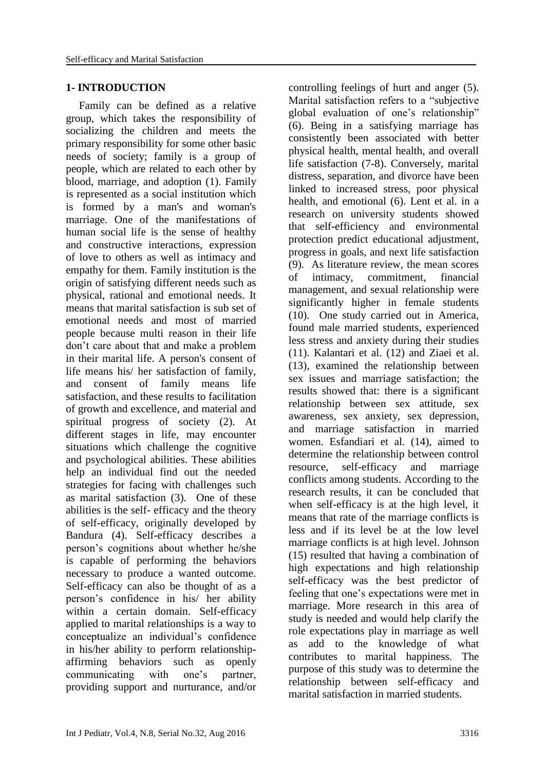#### **1- INTRODUCTION**

Family can be defined as a relative group, which takes the responsibility of socializing the children and meets the primary responsibility for some other basic needs of society; family is a group of people, which are related to each other by blood, marriage, and adoption (1). Family is represented as a social institution which is formed by a man's and woman's marriage. One of the manifestations of human social life is the sense of healthy and constructive interactions, expression of love to others as well as intimacy and empathy for them. Family institution is the origin of satisfying different needs such as physical, rational and emotional needs. It means that marital satisfaction is sub set of emotional needs and most of married people because multi reason in their life don't care about that and make a problem in their marital life. A person's consent of life means his/ her satisfaction of family, and consent of family means life satisfaction, and these results to facilitation of growth and excellence, and material and spiritual progress of society (2). At different stages in life, may encounter situations which challenge the cognitive and psychological abilities. These abilities help an individual find out the needed strategies for facing with challenges such as marital satisfaction (3). One of these abilities is the self- efficacy and the theory of self-efficacy, originally developed by Bandura (4). Self-efficacy describes a person's cognitions about whether he/she is capable of performing the behaviors necessary to produce a wanted outcome. Self-efficacy can also be thought of as a person's confidence in his/ her ability within a certain domain. Self-efficacy applied to marital relationships is a way to conceptualize an individual's confidence in his/her ability to perform relationshipaffirming behaviors such as openly communicating with one's partner, providing support and nurturance, and/or

controlling feelings of hurt and anger (5). Marital satisfaction refers to a "subjective global evaluation of one's relationship" (6). Being in a satisfying marriage has consistently been associated with better physical health, mental health, and overall life satisfaction (7-8). Conversely, marital distress, separation, and divorce have been linked to increased stress, poor physical health, and emotional (6). Lent et al. in a research on university students showed that self-efficiency and environmental protection predict educational adjustment, progress in goals, and next life satisfaction (9). As literature review, the mean scores of intimacy, commitment, financial management, and sexual relationship were significantly higher in female students (10). One study carried out in America, found male married students, experienced less stress and anxiety during their studies (11). Kalantari et al. (12) and Ziaei et al. (13), examined the relationship between sex issues and marriage satisfaction; the results showed that: there is a significant relationship between sex attitude, sex awareness, sex anxiety, sex depression, and marriage satisfaction in married women. Esfandiari et al. (14), aimed to determine the relationship between control resource, self-efficacy and marriage conflicts among students. According to the research results, it can be concluded that when self-efficacy is at the high level, it means that rate of the marriage conflicts is less and if its level be at the low level marriage conflicts is at high level. Johnson (15) resulted that having a combination of high expectations and high relationship self-efficacy was the best predictor of feeling that one's expectations were met in marriage. More research in this area of study is needed and would help clarify the role expectations play in marriage as well as add to the knowledge of what contributes to marital happiness. The purpose of this study was to determine the relationship between self-efficacy and marital satisfaction in married students.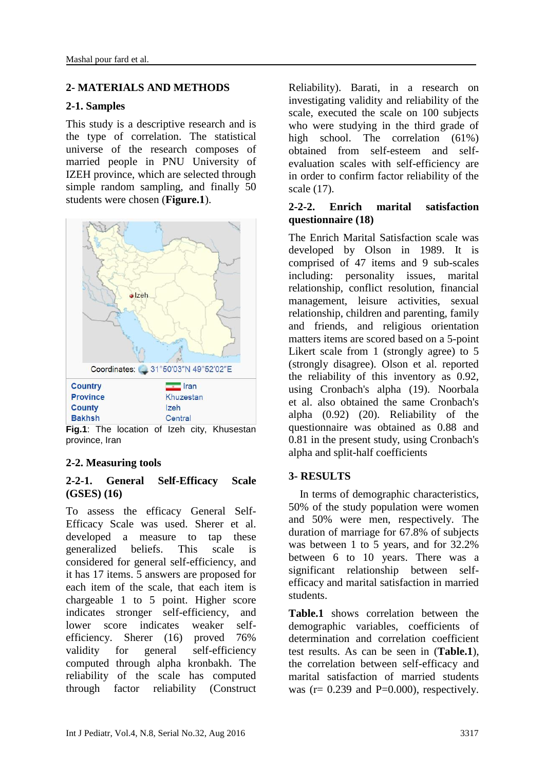#### **2- MATERIALS AND METHODS**

#### **2-1. Samples**

This study is a descriptive research and is the type of correlation. The statistical universe of the research composes of married people in PNU University of IZEH province, which are selected through simple random sampling, and finally 50 students were chosen (**Figure.1**).



**Fig.1**: The location of Izeh city, Khusestan province, Iran

# **2-2. Measuring tools**

#### **2-2-1. General Self-Efficacy Scale (GSES) (16)**

To assess the efficacy General Self-Efficacy Scale was used. Sherer et al. developed a measure to tap these generalized beliefs. This scale is considered for general self-efficiency, and it has 17 items. 5 answers are proposed for each item of the scale, that each item is chargeable 1 to 5 point. Higher score indicates stronger self-efficiency, and lower score indicates weaker selfefficiency. Sherer (16) proved 76% validity for general self-efficiency computed through alpha kronbakh. The reliability of the scale has computed through factor reliability (Construct Reliability). Barati, in a research on investigating validity and reliability of the scale, executed the scale on 100 subjects who were studying in the third grade of high school. The correlation (61%) obtained from self-esteem and selfevaluation scales with self-efficiency are in order to confirm factor reliability of the scale (17).

#### **2-2-2. Enrich marital satisfaction questionnaire (18)**

The Enrich Marital Satisfaction scale was developed by Olson in 1989. It is comprised of 47 items and 9 sub-scales including: personality issues, marital relationship, conflict resolution, financial management, leisure activities, sexual relationship, children and parenting, family and friends, and religious orientation matters items are scored based on a 5-point Likert scale from 1 (strongly agree) to 5 (strongly disagree). Olson et al. reported the reliability of this inventory as 0.92, using Cronbach's alpha (19). Noorbala et al. also obtained the same Cronbach's alpha (0.92) (20). Reliability of the questionnaire was obtained as 0.88 and 0.81 in the present study, using Cronbach's alpha and split-half coefficients

# **3- RESULTS**

 In terms of demographic characteristics, 50% of the study population were women and 50% were men, respectively. The duration of marriage for 67.8% of subjects was between 1 to 5 years, and for 32.2% between 6 to 10 years. There was a significant relationship between selfefficacy and marital satisfaction in married students.

**Table.1** shows correlation between the demographic variables, coefficients of determination and correlation coefficient test results. As can be seen in (**Table.1**), the correlation between self-efficacy and marital satisfaction of married students was  $(r= 0.239$  and  $P=0.000$ , respectively.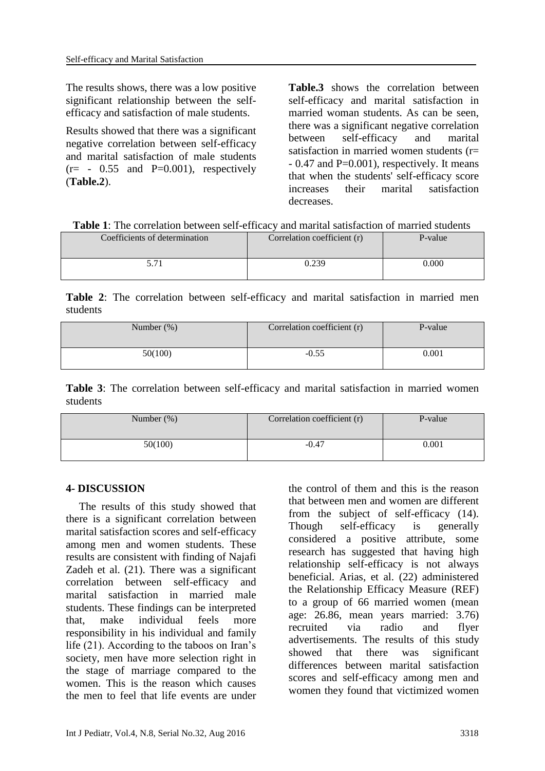The results shows, there was a low positive significant relationship between the selfefficacy and satisfaction of male students.

Results showed that there was a significant negative correlation between self-efficacy and marital satisfaction of male students  $(r=-0.55$  and P=0.001), respectively (**Table.2**).

**Table.3** shows the correlation between self-efficacy and marital satisfaction in married woman students. As can be seen, there was a significant negative correlation between self-efficacy and marital satisfaction in married women students  $(r=$  $-0.47$  and P=0.001), respectively. It means that when the students' self-efficacy score increases their marital satisfaction decreases.

| Coefficients of determination | Correlation coefficient (r) | P-value |
|-------------------------------|-----------------------------|---------|
| 5.71                          | 0.239                       | 0.000   |

**Table 2**: The correlation between self-efficacy and marital satisfaction in married men students

| Number $(\%)$ | Correlation coefficient (r) | P-value   |
|---------------|-----------------------------|-----------|
| 50(100)       | $-0.55$                     | $0.001\,$ |

**Table 3**: The correlation between self-efficacy and marital satisfaction in married women students

| Number $(\%)$ | Correlation coefficient (r) | P-value |
|---------------|-----------------------------|---------|
| 50(100)       | $-0.47$                     | 0.001   |

#### **4- DISCUSSION**

The results of this study showed that there is a significant correlation between marital satisfaction scores and self-efficacy among men and women students. These results are consistent with finding of Najafi Zadeh et al. (21). There was a significant correlation between self-efficacy and marital satisfaction in married male students. These findings can be interpreted that, make [individual feels more](javascript:void(0))  [responsibility in his individual and family](javascript:void(0))  [life](javascript:void(0)) (21). According to the taboos on Iran's society, men have more selection right in the stage of marriage compared to the women. This is the reason which causes the men to feel that life events are under the control of them and this is the reason that between men and women are different from the subject of self-efficacy (14). Though self-efficacy is generally considered a positive attribute, some research has suggested that having high relationship self-efficacy is not always beneficial. Arias, et al. (22) administered the Relationship Efficacy Measure (REF) to a group of 66 married women (mean age: 26.86, mean years married: 3.76) recruited via radio and flyer advertisements. The results of this study showed that there was significant differences between marital satisfaction scores and self-efficacy among men and women they found that victimized women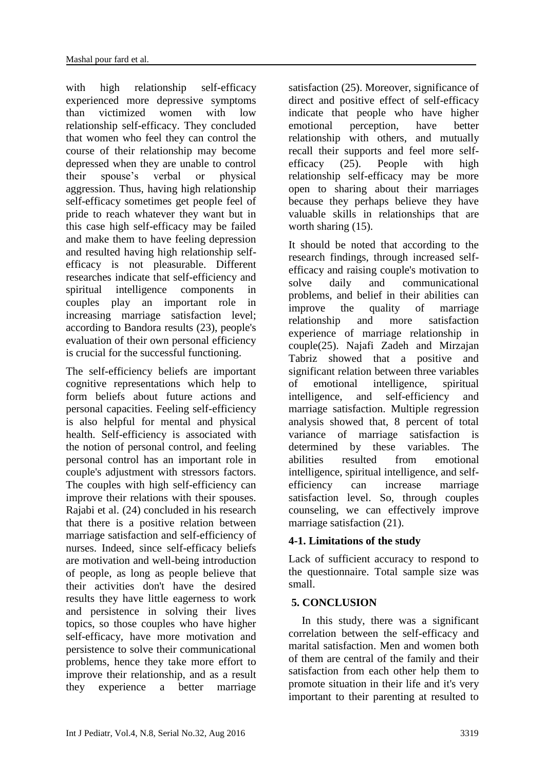with high relationship self-efficacy experienced more depressive symptoms than victimized women with low relationship self-efficacy. They concluded that women who feel they can control the course of their relationship may become depressed when they are unable to control their spouse's verbal or physical aggression. Thus, having high relationship self-efficacy sometimes get people feel of pride to reach whatever they want but in this case high self-efficacy may be failed and make them to have feeling depression and resulted having high relationship selfefficacy is not pleasurable. Different researches indicate that self-efficiency and spiritual intelligence components in couples play an important role in increasing marriage satisfaction level; according to Bandora results (23), people's evaluation of their own personal efficiency is crucial for the successful functioning.

The self-efficiency beliefs are important cognitive representations which help to form beliefs about future actions and personal capacities. Feeling self-efficiency is also helpful for mental and physical health. Self-efficiency is associated with the notion of personal control, and feeling personal control has an important role in couple's adjustment with stressors factors. The couples with high self-efficiency can improve their relations with their spouses. Rajabi et al. (24) concluded in his research that there is a positive relation between marriage satisfaction and self-efficiency of nurses. Indeed, since self-efficacy beliefs are motivation and well-being introduction of people, as long as people believe that their activities don't have the desired results they have little eagerness to work and persistence in solving their lives topics, so those couples who have higher self-efficacy, have more motivation and persistence to solve their communicational problems, hence they take more effort to improve their relationship, and as a result they experience a better marriage satisfaction (25). Moreover, significance of direct and positive effect of self-efficacy indicate that people who have higher emotional perception, have better relationship with others, and mutually recall their supports and feel more selfefficacy (25). People with high relationship self-efficacy may be more open to sharing about their marriages because they perhaps believe they have valuable skills in relationships that are worth sharing  $(15)$ .

It should be noted that according to the research findings, through increased selfefficacy and raising couple's motivation to solve daily and communicational problems, and belief in their abilities can improve the quality of marriage relationship and more satisfaction experience of marriage relationship in couple(25). Najafi Zadeh and Mirzajan Tabriz showed that a positive and significant relation between three variables of emotional intelligence, spiritual intelligence, and self-efficiency and marriage satisfaction. Multiple regression analysis showed that, 8 percent of total variance of marriage satisfaction is determined by these variables. The abilities resulted from emotional intelligence, spiritual intelligence, and selfefficiency can increase marriage satisfaction level. So, through couples counseling, we can effectively improve marriage satisfaction (21).

# **4-1. Limitations of the study**

Lack of sufficient accuracy to respond to the questionnaire. Total sample size was small.

# **5. CONCLUSION**

In this study, there was a significant correlation between the self-efficacy and marital satisfaction. Men and women both of them are central of the family and their satisfaction from each other help them to promote situation in their life and it's very important to their parenting at resulted to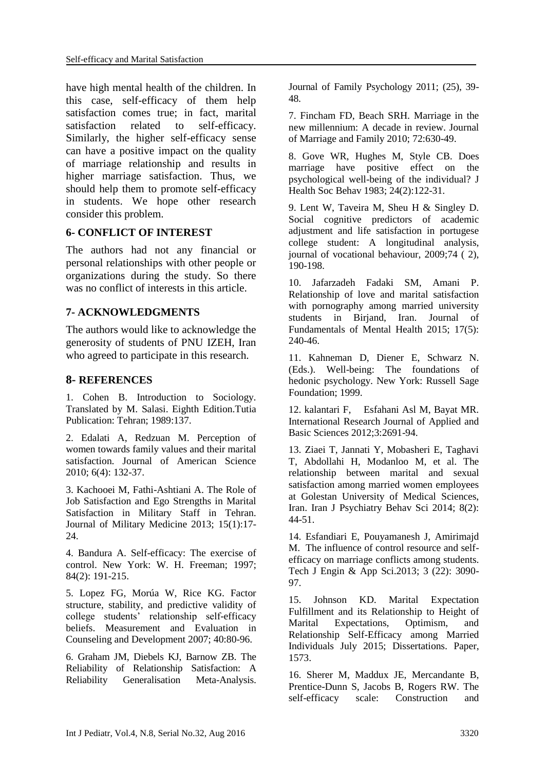have high mental health of the children. In this case, self-efficacy of them help satisfaction comes true; in fact, marital satisfaction related to self-efficacy. Similarly, the higher self-efficacy sense can have a positive impact on the quality of marriage relationship and results in higher marriage satisfaction. Thus, we should help them to promote self-efficacy in students. We hope other research consider this problem.

# **6- CONFLICT OF INTEREST**

The authors had not any financial or personal relationships with other people or organizations during the study. So there was no conflict of interests in this article.

# **7- ACKNOWLEDGMENTS**

The authors would like to acknowledge the generosity of students of PNU IZEH, Iran who agreed to participate in this research.

# **8- REFERENCES**

1. Cohen B. Introduction to Sociology. Translated by M. Salasi. Eighth Edition.Tutia Publication: Tehran; 1989:137.

2. Edalati A, Redzuan M. Perception of women towards family values and their marital satisfaction. Journal of American Science 2010; 6(4): 132-37.

3. Kachooei M, Fathi-Ashtiani A. The Role of Job Satisfaction and Ego Strengths in Marital Satisfaction in Military Staff in Tehran. Journal of Military Medicine 2013; 15(1):17- 24.

4. Bandura A. Self-efficacy: The exercise of control. New York: W. H. Freeman; 1997; 84(2): 191-215.

5. Lopez FG, Morúa W, Rice KG. Factor structure, stability, and predictive validity of college students' relationship self-efficacy beliefs. Measurement and Evaluation in Counseling and Development 2007; 40:80-96.

6. Graham JM, Diebels KJ, Barnow ZB. The Reliability of Relationship Satisfaction: A Reliability Generalisation Meta-Analysis.

Journal of Family Psychology 2011; (25), 39- 48.

7. Fincham FD, Beach SRH. Marriage in the new millennium: A decade in review. Journal of Marriage and Family 2010; 72:630-49.

8. [Gove WR,](http://www.ncbi.nlm.nih.gov/pubmed/?term=Gove%20WR%5BAuthor%5D&cauthor=true&cauthor_uid=6886367) [Hughes M,](http://www.ncbi.nlm.nih.gov/pubmed/?term=Hughes%20M%5BAuthor%5D&cauthor=true&cauthor_uid=6886367) [Style CB.](http://www.ncbi.nlm.nih.gov/pubmed/?term=Style%20CB%5BAuthor%5D&cauthor=true&cauthor_uid=6886367) Does marriage have positive effect on the psychological well-being of the individual? [J](http://www.ncbi.nlm.nih.gov/pubmed/6886367)  [Health Soc Behav](http://www.ncbi.nlm.nih.gov/pubmed/6886367) 1983; 24(2):122-31.

9. Lent W, Taveira M, Sheu H & Singley D. Social cognitive predictors of academic adjustment and life satisfaction in portugese college student: A longitudinal analysis, journal of vocational behaviour, 2009;74 ( 2), 190-198.

10. Jafarzadeh Fadaki SM, Amani P. Relationship of love and marital satisfaction with pornography among married university students in Biriand, Iran. Journal of Fundamentals of Mental Health 2015; 17(5): 240-46.

11. Kahneman D, Diener E, Schwarz N. (Eds.). Well-being: The foundations of hedonic psychology. New York: Russell Sage Foundation; 1999.

12. kalantari F, Esfahani Asl M, Bayat MR. International Research Journal of Applied and Basic Sciences 2012;3:2691-94.

13. Ziaei T, Jannati Y, Mobasheri E, Taghavi T, Abdollahi H, Modanloo M, et al. The relationship between marital and sexual satisfaction among married women employees at Golestan University of Medical Sciences, Iran. Iran J Psychiatry Behav Sci 2014; 8(2): 44-51.

14. Esfandiari E, Pouyamanesh J, Amirimajd M. The influence of control resource and selfefficacy on marriage conflicts among students. Tech J Engin & App Sci.2013; 3 (22): 3090- 97.

15. Johnson KD. Marital Expectation Fulfillment and its Relationship to Height of Marital Expectations, Optimism, and Relationship Self-Efficacy among Married Individuals July 2015; Dissertations. Paper, 1573.

16. Sherer M, Maddux JE, Mercandante B, Prentice-Dunn S, Jacobs B, Rogers RW. The self-efficacy scale: Construction and